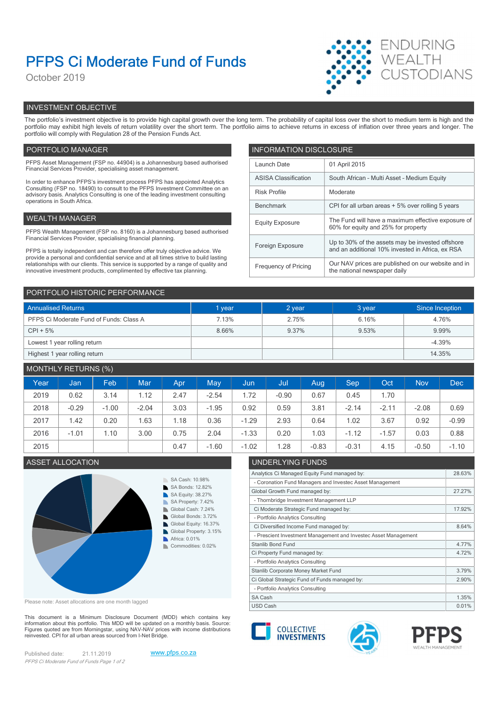# PFPS Ci Moderate Fund of Funds

October 2019



# INVESTMENT OBJECTIVE

The portfolio's investment objective is to provide high capital growth over the long term. The probability of capital loss over the short to medium term is high and the portfolio may exhibit high levels of return volatility over the short term. The portfolio aims to achieve returns in excess of inflation over three years and longer. The portfolio will comply with Regulation 28 of the Pension Funds Act.

# PORTFOLIO MANAGER **INFORMATION DISCLOSURE**

| PFPS Asset Management (FSP no. 44904) is a Johannesburg based authorised<br>Financial Services Provider, specialising asset management.                                | Launch Date                 | 01 April 2015                                                                             |  |  |
|------------------------------------------------------------------------------------------------------------------------------------------------------------------------|-----------------------------|-------------------------------------------------------------------------------------------|--|--|
| In order to enhance PFPS's investment process PFPS has appointed Analytics                                                                                             | <b>ASISA Classification</b> | South African - Multi Asset - Medium Equity                                               |  |  |
| Consulting (FSP no. 18490) to consult to the PFPS Investment Committee on an<br>advisory basis. Analytics Consulting is one of the leading investment consulting       | <b>Risk Profile</b>         | Moderate                                                                                  |  |  |
| operations in South Africa.<br>Benchmark                                                                                                                               |                             | CPI for all urban areas + 5% over rolling 5 years                                         |  |  |
| WEALTH MANAGER                                                                                                                                                         | <b>Equity Exposure</b>      | The Fund will have a maximum effective exposure of<br>60% for equity and 25% for property |  |  |
| PFPS Wealth Management (FSP no. 8160) is a Johannesburg based authorised                                                                                               |                             |                                                                                           |  |  |
| Financial Services Provider, specialising financial planning.                                                                                                          | Foreign Exposure            | Up to 30% of the assets may be invested offshore                                          |  |  |
| PFPS is totally independent and can therefore offer truly objective advice. We<br>provide a personal and confidential service and at all times strive to build lasting |                             | and an additional 10% invested in Africa, ex RSA                                          |  |  |
| relationships with our clients. This service is supported by a range of quality and<br>innovative investment products, complimented by effective tax planning.         | Frequency of Pricing        | Our NAV prices are published on our website and in<br>the national newspaper daily        |  |  |
|                                                                                                                                                                        |                             |                                                                                           |  |  |

| PORTFOLIO HISTORIC PERFORMANCE          |        |        |        |                 |  |  |
|-----------------------------------------|--------|--------|--------|-----------------|--|--|
| <b>Annualised Returns</b>               | 1 year | 2 year | 3 year | Since Inception |  |  |
| PFPS Ci Moderate Fund of Funds: Class A | 7.13%  | 2.75%  | 6.16%  | 4.76%           |  |  |
| $CPI + 5%$                              | 8.66%  | 9.37%  | 9.53%  | 9.99%           |  |  |
| Lowest 1 year rolling return            |        |        |        | $-4.39%$        |  |  |
| Highest 1 year rolling return           |        |        |        | 14.35%          |  |  |

# MONTHLY RETURNS (%)

| Year | Jan     | Feb     | Mar     | Apr  | <b>May</b> | <b>Jun</b> | Jul     | Aug     | Sep     | Oct     | <b>Nov</b> | <b>Dec</b> |
|------|---------|---------|---------|------|------------|------------|---------|---------|---------|---------|------------|------------|
| 2019 | 0.62    | 3.14    | 1.12    | 2.47 | $-2.54$    | 1.72       | $-0.90$ | 0.67    | 0.45    | . 70    |            |            |
| 2018 | $-0.29$ | $-1.00$ | $-2.04$ | 3.03 | $-1.95$    | 0.92       | 0.59    | 3.81    | $-2.14$ | $-2.11$ | $-2.08$    | 0.69       |
| 2017 | 1.42    | 0.20    | 1.63    | .18  | 0.36       | $-1.29$    | 2.93    | 0.64    | 1.02    | 3.67    | 0.92       | $-0.99$    |
| 2016 | $-1.01$ | .10     | 3.00    | 0.75 | 2.04       | $-1.33$    | 0.20    | 1.03    | $-1.12$ | $-1.57$ | 0.03       | 0.88       |
| 2015 |         |         |         | 0.47 | $-1.60$    | $-1.02$    | .28     | $-0.83$ | $-0.31$ | 4.15    | $-0.50$    | $-1.10$    |

# ASSET ALLOCATION **ASSET ALLOCATION**



Please note: Asset allocations are one month lagged

This document is a Minimum Disclosure Document (MDD) which contains key<br>information about this portfolio. This MDD will be updated on a monthly basis. Source: Figures quoted are from Morningstar, using NAV-NAV prices with income distributions<br>reinvested. CPI for all urban areas sourced from I-Net Bridge. reinvested. CPI for all urban areas sourced from I-Net Bridge.

Published date: 21.11.2019 www.pfps.co.za PFPS Ci Moderate Fund of Funds Page 1 of 2





Analytics Ci Managed Equity Fund managed by: 28.63%

Global Growth Fund managed by: 27.27%

Ci Moderate Strategic Fund managed by: 17.92%

Ci Diversified Income Fund managed by: 8.64%

Ci Property Fund managed by: 4.72%

Ci Global Strategic Fund of Funds managed by: 2.90% Stanlib Corporate Money Market Fund 3.79%

- Coronation Fund Managers and Investec Asset Management

- Prescient Investment Management and Investec Asset Management

- Thornbridge Investment Management LLP

- Portfolio Analytics Consulting

- Portfolio Analytics Consulting

- Portfolio Analytics Consulting



Stanlib Bond Fund 4.77%

SA Cash 2.35% and 2.35% and 3.35% and 3.35% and 3.35% and 3.35% and 3.35% and 3.35% and 3.35% and 3.35% and 3.35% and 3.35% and 3.35% and 3.35% and 3.35% and 3.35% and 3.35% and 3.35% and 3.35% and 3.35% and 3.35% and 3.35

USD Cash 0.01% | 0.01% | 0.01% | 0.01% | 0.01% | 0.01% | 0.01% | 0.01% | 0.01% | 0.01% | 0.01% | 0.01% | 0.01%